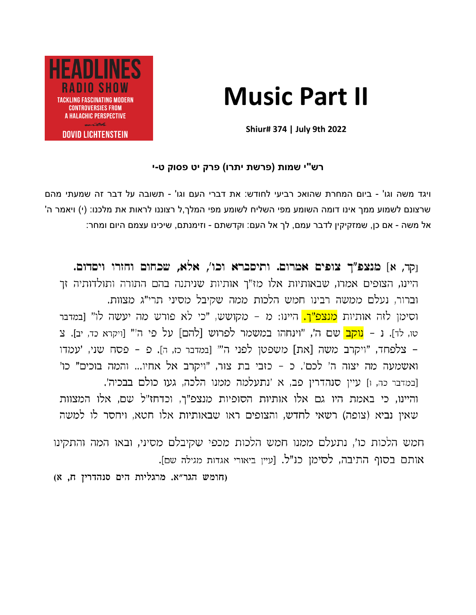# **Music Part II**



**Shiur# 374 | July 9th 2022**

# **רש"י שמות )פרשת יתרו( פרק יט פסוק ט-י**

ויגד משה וגו' - ביום המחרת שהואכ רביעי לחודש: את דברי העם וגו' - תשובה על דבר זה שמעתי מהם שרצונם לשמוע ממך אינו דומה השומע מפי השליח לשומע מפי המלך,ל רצוננו לראות את מלכנו: (י) ויאמר ה' אל משה - אם כן, שמזקיקין לדבר עמם, לך אל העם: וקדשתם - וזימנתם, שיכינו עצמם היום ומחר:

וקר, א] מנצפ"ך צופים אמרום. ותיסברא וכו', אלא, שכחום וחזרו ויסדום. היינו, הצופים אמרו, שבאותיות אלו מז"ך אותיות שניתנה בהם התורה ותולדותיה זך וברור, נעלם ממשה רבינו חמש הלכות ממה שקיבל מסיני תרי״ג מצוות. וסימן לזה אותיות <mark>מנצפ"ך.</mark> היינו: מ – מקושש, "כי לא פורש מה יעשה לו" [במדבר טו, לד]. נ – <mark>נוקב</mark> שם ה', "וינחהו במשמר לפרוש [להם] על פי ה'" [ויקרא כד, יב]. צ – צלפחד, "ויקרב משה [את] משפטן לפני ה'" [במדבר כז, ה]. פ – פסח שני, 'עמדו ואשמעה מה יצוה ה' לכם'. כ - כזבי בת צור, "ויקרב אל אחיו... והמה בוכים" כו' [במדבר כה, ו] עיין סנהדרין פב, א 'נתעלמה ממנו הלכה, געו כולם בבכיה'. והיינו, כי באמת היו גם אלו אותיות הסופיות מנצפ"ך, וכדחז"ל שם, אלו המצוות שאין נביא (צופה) רשאי לחדש, והצופים ראו שבאותיות אלו חטא, ויחסר לו למשה

חמש הלכות כו', נתעלם ממנו חמש הלכות מכפי שקיבלם מסיני, ובאו המה והתקינו אותם בסוף התיבה, לסימן כנ"ל. [עיין ביאורי אגדות מגילה שם].

(חומש הגר"א. מרגליות הים סנהדרין ח, א)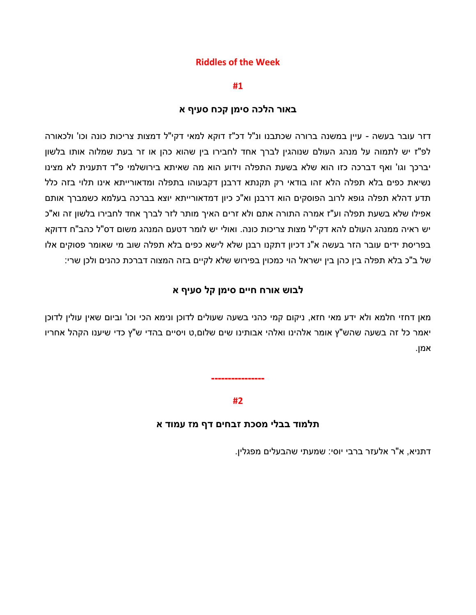## **Riddles of the Week**

**#1**

## **באור הלכה סימן קכח סעיף א**

דזר עובר בעשה - עיין במשנה ברורה שכתבנו ונ"ל דכ"ז דוקא למאי דקי"ל דמצות צריכות כונה וכו' ולכאורה לפ"ז יש לתמוה על מנהג העולם שנוהגין לברך אחד לחבירו בין שהוא כהן או זר בעת שמלוה אותו בלשון יברכך וגו' ואף דברכה כזו הוא שלא בשעת התפלה וידוע הוא מה שאיתא בירושלמי פ"ד דתענית לא מצינו נשיאת כפים בלא תפלה הלא זהו בודאי רק תקנתא דרבנן דקבעוהו בתפלה ומדאורייתא אינו תלוי בזה כלל תדע דהלא תפלה גופא לרוב הפוסקים הוא דרבנן וא"כ כיון דמדאורייתא יוצא בברכה בעלמא כשמברך אותם אפילו שלא בשעת תפלה וע"ז אמרה התורה אתם ולא זרים האיך מותר לזר לברך אחד לחבירו בלשון זה וא"כ יש ראיה ממנהג העולם להא דקי"ל מצות צריכות כונה. ואולי יש לומר דטעם המנהג משום דס"ל כהב"ח דדוקא בפריסת ידים עובר הזר בעשה א"נ דכיון דתקנו רבנן שלא לישא כפים בלא תפלה שוב מי שאומר פסוקים אלו של ב"כ בלא תפלה בין כהן בין ישראל הוי כמכוין בפירוש שלא לקיים בזה המצוה דברכת כהנים ולכן שרי:

# **לבוש אורח חיים סימן קל סעיף א**

מאן דחזי חלמא ולא ידע מאי חזא, ניקום קמי כהני בשעה שעולים לדוכן ונימא הכי וכו' וביום שאין עולין לדוכן יאמר כל זה בשעה שהש"ץ אומר אלהינו ואלהי אבותינו שים שלום,ט ויסיים בהדי ש"ץ כדי שיענו הקהל אחריו אמן.

#### **#2**

**----------------**

#### **תלמוד בבלי מסכת זבחים דף מז עמוד א**

דתניא, א"ר אלעזר ברבי יוסי: שמעתי שהבעלים מפגלין.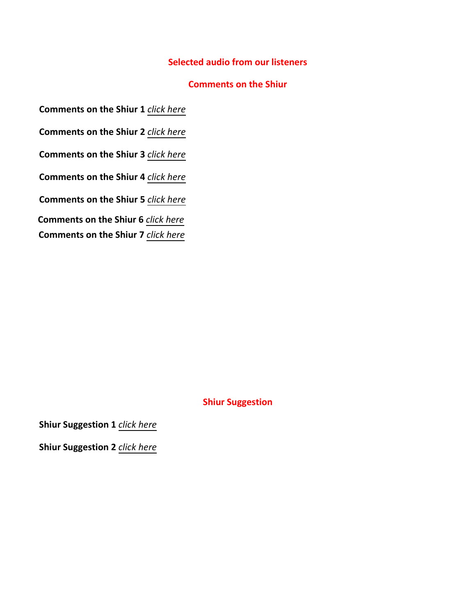# **Selected audio from our listeners**

## **Comments on the Shiur**

**Comments on the Shiur 1** *[click here](https://drive.google.com/file/d/1oJibYpNOpJwnPXwmgLpVQsADW2nByK9V/view?usp=sharing)*

**Comments on the Shiur 2** *[click here](https://drive.google.com/file/d/1FbMSix4FiBQ_KUtMgVGy5UrlnGbcrWCx/view?usp=sharing)*

**Comments on the Shiur 3** *[click here](https://drive.google.com/file/d/116hP_h_tu5TmCAoSHCe04p0Ey8Z2Lsm4/view?usp=sharing)*

**Comments on the Shiur 4** *[click here](https://drive.google.com/file/d/1PP18cN2O20JITU6LaKtQNlFDVdg1tMCd/view?usp=sharing)*

**Comments on the Shiur 5** *[click here](https://drive.google.com/file/d/1Z1eazKo_QpbnbSVeJ1Ou0yPOd6WR5X5b/view?usp=sharing)*

**Comments on the Shiur 6** *[click here](https://drive.google.com/file/d/12iw4Q9-JmMfLLBeGIFg5AosEYt18f3hp/view?usp=sharing)*

**Comments on the Shiur 7** *[click here](https://drive.google.com/file/d/1jVQ1Q44psy5qGGIcHEEa5nQ2Y3nxJuC5/view?usp=sharing)*

# **Shiur Suggestion**

**Shiur Suggestion 1** *[click here](https://drive.google.com/file/d/1Fo6JgtBED6S8_l879N-z2jqkbXcZEwHL/view?usp=sharing)*

**Shiur Suggestion 2** *[click here](https://drive.google.com/file/d/1TOfbe0pDlObGL4SwixraxCqmDwOfd1Pc/view?usp=sharing)*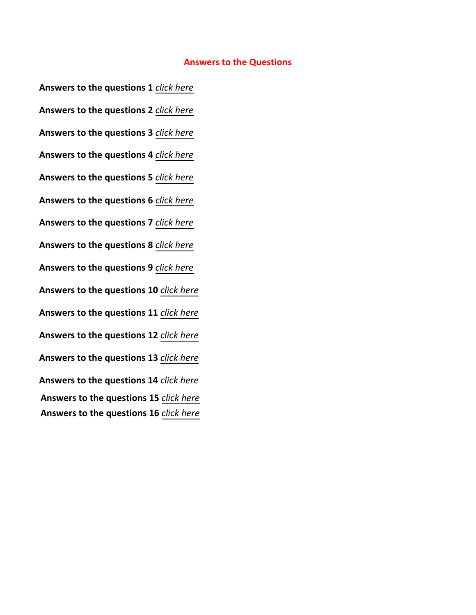#### **Answers to the Questions**

**Answers to the questions 1** *[click here](https://drive.google.com/file/d/1sREV28FzgcfUP5i5SXrfFIOIir0VZ6OL/view?usp=sharing)* **Answers to the questions 2** *[click here](https://drive.google.com/file/d/1jXXjb4837V-K_yRuqunpQXc5jnMIZ4Nc/view?usp=sharing)* **Answers to the questions 3** *[click here](https://drive.google.com/file/d/1yKDNuTQHIT8f5SbjkCb89bjxUBlh952_/view?usp=sharing)* **Answers to the questions 4** *[click here](https://drive.google.com/file/d/1XQId1BRECJ0kJOy_T5JSpXPWjyaRSPF8/view?usp=sharing)* **Answers to the questions 5** *[click here](https://drive.google.com/file/d/1uFeTSdUszeU_Lki0_e5mK_ZWZCt2uNWM/view?usp=sharing)* **Answers to the questions 6** *[click here](https://drive.google.com/file/d/1BNqDhqOzrUXyQQhQyyG4LELA5z9BHV0D/view?usp=sharing)* **Answers to the questions 7** *[click here](https://drive.google.com/file/d/1-F9DiTAwD5JFuTzJNoau8WTeEqtHRzlE/view?usp=sharing)* **Answers to the questions 8** *[click here](https://drive.google.com/file/d/1JKJKns0_VJId03MADnSg4JfRNVD7io6L/view?usp=sharing)* **Answers to the questions 9** *[click here](https://drive.google.com/file/d/1QRN_CCKCTObJLtUFx1IyLniV0-BoGEgs/view?usp=sharing)* **Answers to the questions 10** *[click here](https://drive.google.com/file/d/1QRN_CCKCTObJLtUFx1IyLniV0-BoGEgs/view?usp=sharing)* **Answers to the questions 11** *[click here](https://drive.google.com/file/d/1qjjIG6zb9OfadYVnCdDcF0kB3HkgYlEw/view?usp=sharing)* **Answers to the questions 12** *[click here](https://drive.google.com/file/d/19UVyR2UBTxvyn1HDOmzzzTUrJKWwovRG/view?usp=sharing)* **Answers to the questions 13** *[click here](https://drive.google.com/file/d/1oQt574BY0hqgETwt94_smh8-KSMwpslc/view?usp=sharing)* **Answers to the questions 14** *[click here](https://drive.google.com/file/d/1XHZiaVeyliQZyAsxp3BSf_-6usp7Hx3v/view?usp=sharing)* **Answers to the questions 15** *[click here](https://drive.google.com/file/d/1yjEJngVjp6iWN06fKHWGEh0GgygwZGLG/view?usp=sharing)* **Answers to the questions 16** *[click here](https://drive.google.com/file/d/18iKQZCcw2CupjnZLR1iPTxcvkWvPCAdZ/view?usp=sharing)*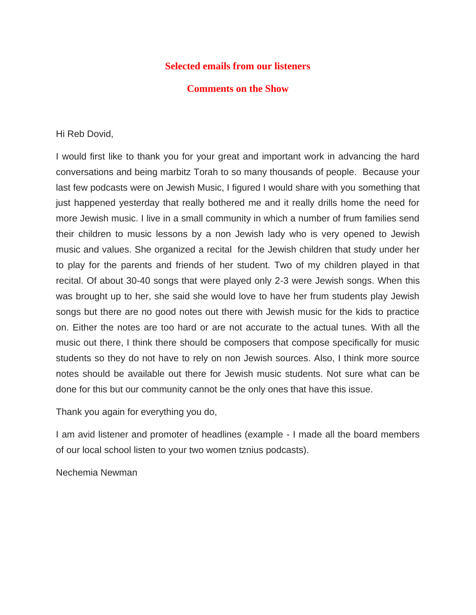# **Selected emails from our listeners**

# **Comments on the Show**

Hi Reb Dovid,

I would first like to thank you for your great and important work in advancing the hard conversations and being marbitz Torah to so many thousands of people. Because your last few podcasts were on Jewish Music, I figured I would share with you something that just happened yesterday that really bothered me and it really drills home the need for more Jewish music. I live in a small community in which a number of frum families send their children to music lessons by a non Jewish lady who is very opened to Jewish music and values. She organized a recital for the Jewish children that study under her to play for the parents and friends of her student. Two of my children played in that recital. Of about 30-40 songs that were played only 2-3 were Jewish songs. When this was brought up to her, she said she would love to have her frum students play Jewish songs but there are no good notes out there with Jewish music for the kids to practice on. Either the notes are too hard or are not accurate to the actual tunes. With all the music out there, I think there should be composers that compose specifically for music students so they do not have to rely on non Jewish sources. Also, I think more source notes should be available out there for Jewish music students. Not sure what can be done for this but our community cannot be the only ones that have this issue.

Thank you again for everything you do,

I am avid listener and promoter of headlines (example - I made all the board members of our local school listen to your two women tznius podcasts).

Nechemia Newman